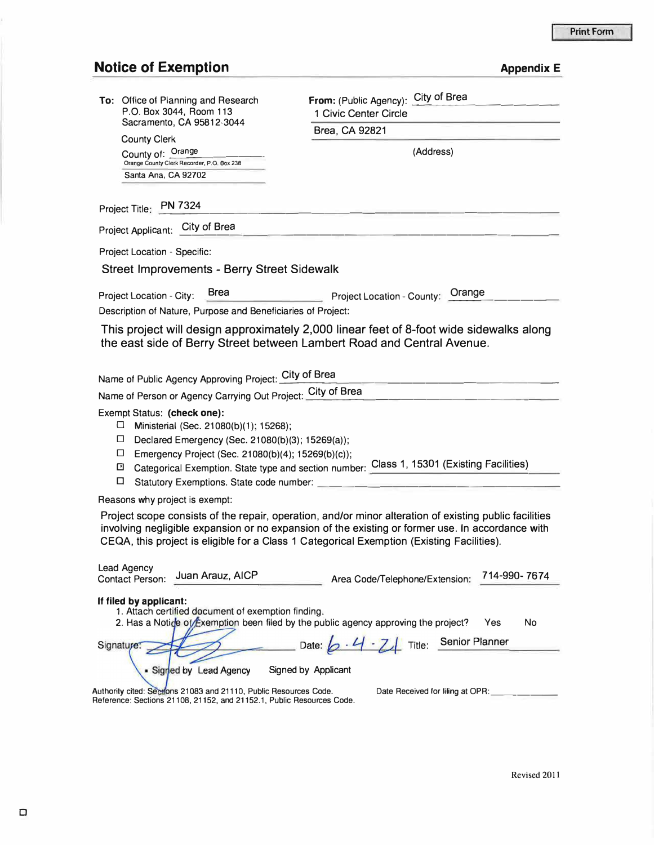## **Notice of Exemption**

| <b>Appendix E</b> |  |  |  |  |
|-------------------|--|--|--|--|
|-------------------|--|--|--|--|

| To: Office of Planning and Research                                                                                                        | City of Brea<br>From: (Public Agency):                                                                                                                                                                                                                                                                                                                                                                                                                                                                                                                                     |  |  |
|--------------------------------------------------------------------------------------------------------------------------------------------|----------------------------------------------------------------------------------------------------------------------------------------------------------------------------------------------------------------------------------------------------------------------------------------------------------------------------------------------------------------------------------------------------------------------------------------------------------------------------------------------------------------------------------------------------------------------------|--|--|
| P.O. Box 3044, Room 113<br>Sacramento, CA 95812-3044                                                                                       | 1 Civic Center Circle                                                                                                                                                                                                                                                                                                                                                                                                                                                                                                                                                      |  |  |
| <b>County Clerk</b>                                                                                                                        | Brea, CA 92821                                                                                                                                                                                                                                                                                                                                                                                                                                                                                                                                                             |  |  |
| County of: Orange                                                                                                                          | (Address)                                                                                                                                                                                                                                                                                                                                                                                                                                                                                                                                                                  |  |  |
| Orange County Clerk Recorder, P.O. Box 238                                                                                                 |                                                                                                                                                                                                                                                                                                                                                                                                                                                                                                                                                                            |  |  |
| Santa Ana, CA 92702                                                                                                                        |                                                                                                                                                                                                                                                                                                                                                                                                                                                                                                                                                                            |  |  |
| Project Title: PN 7324                                                                                                                     |                                                                                                                                                                                                                                                                                                                                                                                                                                                                                                                                                                            |  |  |
| Project Applicant: City of Brea                                                                                                            |                                                                                                                                                                                                                                                                                                                                                                                                                                                                                                                                                                            |  |  |
| Project Location - Specific:                                                                                                               |                                                                                                                                                                                                                                                                                                                                                                                                                                                                                                                                                                            |  |  |
| <b>Street Improvements - Berry Street Sidewalk</b>                                                                                         |                                                                                                                                                                                                                                                                                                                                                                                                                                                                                                                                                                            |  |  |
| <b>Brea</b>                                                                                                                                |                                                                                                                                                                                                                                                                                                                                                                                                                                                                                                                                                                            |  |  |
| Project Location - City:<br>Description of Nature, Purpose and Beneficiaries of Project:                                                   | Project Location - County: Orange                                                                                                                                                                                                                                                                                                                                                                                                                                                                                                                                          |  |  |
|                                                                                                                                            |                                                                                                                                                                                                                                                                                                                                                                                                                                                                                                                                                                            |  |  |
|                                                                                                                                            | This project will design approximately 2,000 linear feet of 8-foot wide sidewalks along<br>the east side of Berry Street between Lambert Road and Central Avenue.                                                                                                                                                                                                                                                                                                                                                                                                          |  |  |
|                                                                                                                                            |                                                                                                                                                                                                                                                                                                                                                                                                                                                                                                                                                                            |  |  |
| Name of Public Agency Approving Project: City of Brea                                                                                      |                                                                                                                                                                                                                                                                                                                                                                                                                                                                                                                                                                            |  |  |
| Name of Person or Agency Carrying Out Project: City of Brea                                                                                |                                                                                                                                                                                                                                                                                                                                                                                                                                                                                                                                                                            |  |  |
|                                                                                                                                            |                                                                                                                                                                                                                                                                                                                                                                                                                                                                                                                                                                            |  |  |
| Exempt Status: (check one):<br>$\Box$ Ministerial (Sec. 21080(b)(1); 15268);                                                               |                                                                                                                                                                                                                                                                                                                                                                                                                                                                                                                                                                            |  |  |
| $\Box$ Declared Emergency (Sec. 21080(b)(3); 15269(a));                                                                                    |                                                                                                                                                                                                                                                                                                                                                                                                                                                                                                                                                                            |  |  |
| □ Emergency Project (Sec. 21080(b)(4); 15269(b)(c));                                                                                       |                                                                                                                                                                                                                                                                                                                                                                                                                                                                                                                                                                            |  |  |
| ⊡                                                                                                                                          | Categorical Exemption. State type and section number: Class 1, 15301 (Existing Facilities)                                                                                                                                                                                                                                                                                                                                                                                                                                                                                 |  |  |
| 0<br>Statutory Exemptions. State code number:                                                                                              |                                                                                                                                                                                                                                                                                                                                                                                                                                                                                                                                                                            |  |  |
| Reasons why project is exempt:                                                                                                             |                                                                                                                                                                                                                                                                                                                                                                                                                                                                                                                                                                            |  |  |
|                                                                                                                                            | Project scope consists of the repair, operation, and/or minor alteration of existing public facilities<br>involving negligible expansion or no expansion of the existing or former use. In accordance with<br>CEQA, this project is eligible for a Class 1 Categorical Exemption (Existing Facilities).                                                                                                                                                                                                                                                                    |  |  |
| Lead Agency<br>Juan Arauz, AICP<br><b>Contact Person:</b>                                                                                  | 714-990- 7674<br>Area Code/Telephone/Extension:                                                                                                                                                                                                                                                                                                                                                                                                                                                                                                                            |  |  |
| If filed by applicant:<br>1. Attach certified document of exemption finding.                                                               | 2. Has a Notice of Exemption been filed by the public agency approving the project?<br>Yes<br>No                                                                                                                                                                                                                                                                                                                                                                                                                                                                           |  |  |
| Signature:                                                                                                                                 | Date: $\left[\right. \left\langle \right. \right. \left\langle \right. \left. \right. \left. \left. \right. \left. \left. \right. \left. \right. \left\langle \right. \right. \left. \left. \right. \left\langle \right. \right. \left. \left. \right. \right. \left. \left. \right. \left. \right. \left. \left. \right. \left. \left. \right. \right. \left. \left. \right. \left. \left. \right. \right. \left. \left. \right. \left. \right. \left. \left. \right. \right. \left. \left. \right. \right. \left. \left. \left. \right. \right. \left. \left. \right. \$ |  |  |
| Signed by Lead Agency                                                                                                                      | Signed by Applicant                                                                                                                                                                                                                                                                                                                                                                                                                                                                                                                                                        |  |  |
| Authority cited: Sections 21083 and 21110, Public Resources Code.<br>Reference: Sections 21108, 21152, and 21152.1, Public Resources Code. | Date Received for filing at OPR:                                                                                                                                                                                                                                                                                                                                                                                                                                                                                                                                           |  |  |